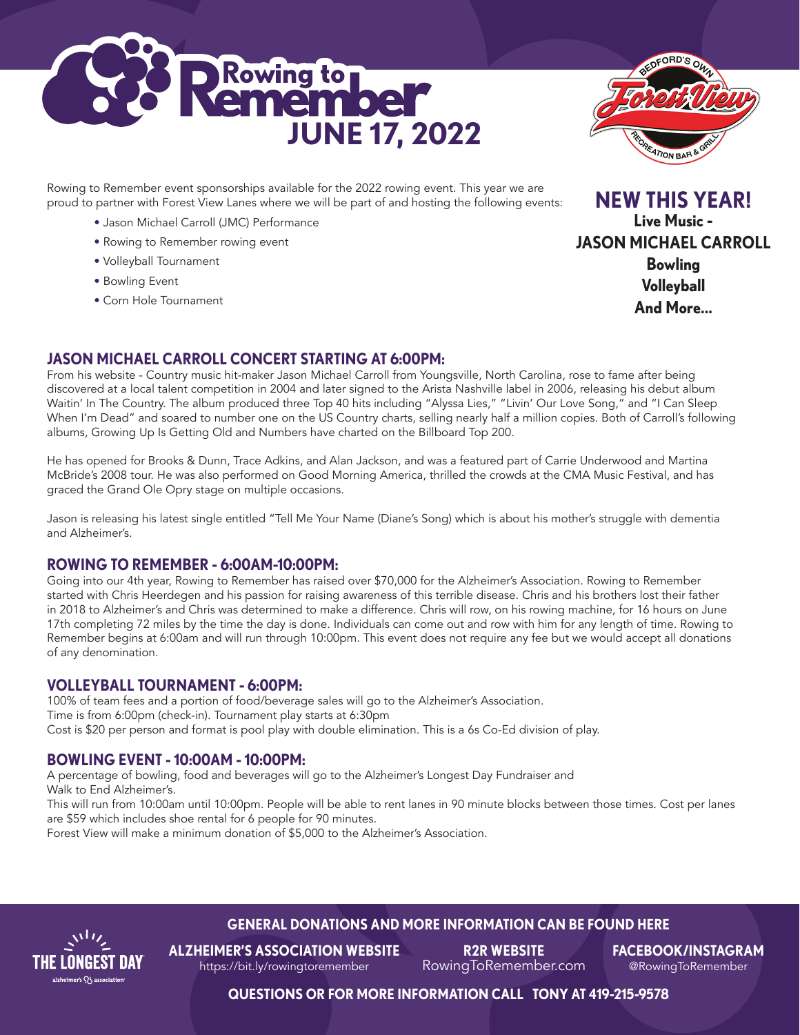



Rowing to Remember event sponsorships available for the 2022 rowing event. This year we are proud to partner with Forest View Lanes where we will be part of and hosting the following events:

- Jason Michael Carroll (JMC) Performance
- Rowing to Remember rowing event
- Volleyball Tournament
- Bowling Event
- Corn Hole Tournament

**NEW THIS YEAR! Live Music - JASON MICHAEL CARROLL Bowling Volleyball And More...**

# **JASON MICHAEL CARROLL CONCERT STARTING AT 6:00PM:**

From his website - Country music hit-maker Jason Michael Carroll from Youngsville, North Carolina, rose to fame after being discovered at a local talent competition in 2004 and later signed to the Arista Nashville label in 2006, releasing his debut album Waitin' In The Country. The album produced three Top 40 hits including "Alyssa Lies," "Livin' Our Love Song," and "I Can Sleep When I'm Dead" and soared to number one on the US Country charts, selling nearly half a million copies. Both of Carroll's following albums, Growing Up Is Getting Old and Numbers have charted on the Billboard Top 200.

He has opened for Brooks & Dunn, Trace Adkins, and Alan Jackson, and was a featured part of Carrie Underwood and Martina McBride's 2008 tour. He was also performed on Good Morning America, thrilled the crowds at the CMA Music Festival, and has graced the Grand Ole Opry stage on multiple occasions.

Jason is releasing his latest single entitled "Tell Me Your Name (Diane's Song) which is about his mother's struggle with dementia and Alzheimer's.

#### **ROWING TO REMEMBER - 6:00AM-10:00PM:**

Going into our 4th year, Rowing to Remember has raised over \$70,000 for the Alzheimer's Association. Rowing to Remember started with Chris Heerdegen and his passion for raising awareness of this terrible disease. Chris and his brothers lost their father in 2018 to Alzheimer's and Chris was determined to make a difference. Chris will row, on his rowing machine, for 16 hours on June 17th completing 72 miles by the time the day is done. Individuals can come out and row with him for any length of time. Rowing to Remember begins at 6:00am and will run through 10:00pm. This event does not require any fee but we would accept all donations of any denomination.

#### **VOLLEYBALL TOURNAMENT - 6:00PM:**

100% of team fees and a portion of food/beverage sales will go to the Alzheimer's Association. Time is from 6:00pm (check-in). Tournament play starts at 6:30pm Cost is \$20 per person and format is pool play with double elimination. This is a 6s Co-Ed division of play.

## **BOWLING EVENT - 10:00AM - 10:00PM:**

A percentage of bowling, food and beverages will go to the Alzheimer's Longest Day Fundraiser and Walk to End Alzheimer's.

This will run from 10:00am until 10:00pm. People will be able to rent lanes in 90 minute blocks between those times. Cost per lanes are \$59 which includes shoe rental for 6 people for 90 minutes.

Forest View will make a minimum donation of \$5,000 to the Alzheimer's Association.



# **GENERAL DONATIONS AND MORE INFORMATION CAN BE FOUND HERE**

**ALZHEIMER'S ASSOCIATION WEBSITE** https://bit.ly/rowingtoremember

**R2R WEBSITE**  RowingToRemember.com **FACEBOOK/INSTAGRAM** @RowingToRemember

**QUESTIONS OR FOR MORE INFORMATION CALL TONY AT 419-215-9578**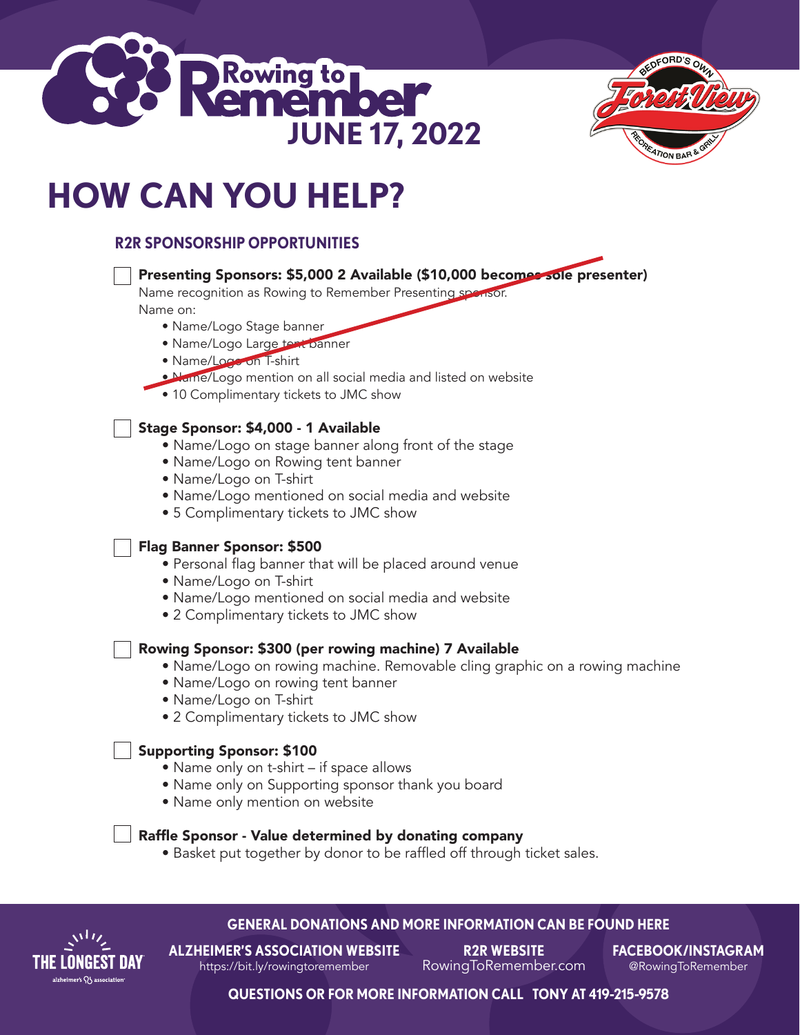



# **HOW CAN YOU HELP?**

# **R2R SPONSORSHIP OPPORTUNITIES**

# Presenting Sponsors: \$5,000 2 Available (\$10,000 becomes sole presenter)

Name recognition as Rowing to Remember Presenting sponsor.

Name on:

- Name/Logo Stage banner
- Name/Logo Large tent banner
- Name/Logo on T-shirt
- Name/Logo mention on all social media and listed on website
- 10 Complimentary tickets to JMC show

## Stage Sponsor: \$4,000 - 1 Available

- Name/Logo on stage banner along front of the stage
- Name/Logo on Rowing tent banner
- Name/Logo on T-shirt
- Name/Logo mentioned on social media and website
- 5 Complimentary tickets to JMC show

## Flag Banner Sponsor: \$500

- Personal flag banner that will be placed around venue
- Name/Logo on T-shirt
- Name/Logo mentioned on social media and website
- 2 Complimentary tickets to JMC show

#### Rowing Sponsor: \$300 (per rowing machine) 7 Available

- Name/Logo on rowing machine. Removable cling graphic on a rowing machine
- Name/Logo on rowing tent banner
- Name/Logo on T-shirt
- 2 Complimentary tickets to JMC show

## Supporting Sponsor: \$100

- Name only on t-shirt if space allows
- Name only on Supporting sponsor thank you board
- Name only mention on website

#### Raffle Sponsor - Value determined by donating company

 • Basket put together by donor to be raffled off through ticket sales.



## **GENERAL DONATIONS AND MORE INFORMATION CAN BE FOUND HERE**

**ALZHEIMER'S ASSOCIATION WEBSITE** https://bit.ly/rowingtoremember

**R2R WEBSITE**  RowingToRemember.com **FACEBOOK/INSTAGRAM** @RowingToRemember

**QUESTIONS OR FOR MORE INFORMATION CALL TONY AT 419-215-9578**